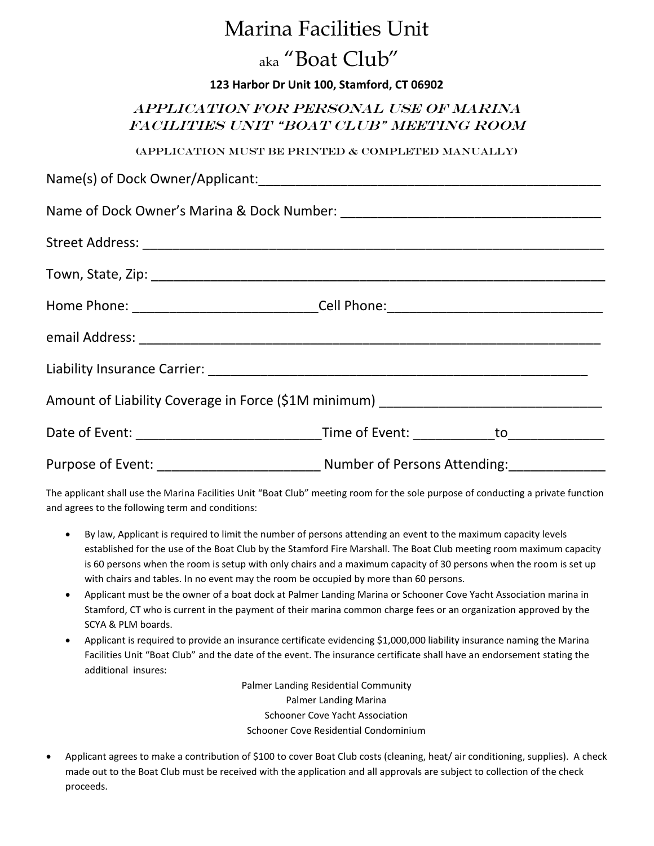# Marina Facilities Unit

# aka "Boat Club"

### **123 Harbor Dr Unit 100, Stamford, CT 06902**

## APPLICATION FOR PERSONAL USE OF Marina Facilities Unit "BOAT CLUB" MEETING ROOM

### (Application Must Be Printed & Completed Manually)

| Name(s) of Dock Owner/Applicant:                                                  |                                                                                   |
|-----------------------------------------------------------------------------------|-----------------------------------------------------------------------------------|
|                                                                                   |                                                                                   |
|                                                                                   |                                                                                   |
|                                                                                   |                                                                                   |
|                                                                                   | Home Phone: ________________________________Cell Phone: _________________________ |
|                                                                                   |                                                                                   |
|                                                                                   |                                                                                   |
| Amount of Liability Coverage in Force (\$1M minimum) ____________________________ |                                                                                   |
|                                                                                   |                                                                                   |
|                                                                                   |                                                                                   |

The applicant shall use the Marina Facilities Unit "Boat Club" meeting room for the sole purpose of conducting a private function and agrees to the following term and conditions:

- By law, Applicant is required to limit the number of persons attending an event to the maximum capacity levels established for the use of the Boat Club by the Stamford Fire Marshall. The Boat Club meeting room maximum capacity is 60 persons when the room is setup with only chairs and a maximum capacity of 30 persons when the room is set up with chairs and tables. In no event may the room be occupied by more than 60 persons.
- Applicant must be the owner of a boat dock at Palmer Landing Marina or Schooner Cove Yacht Association marina in Stamford, CT who is current in the payment of their marina common charge fees or an organization approved by the SCYA & PLM boards.
- Applicant is required to provide an insurance certificate evidencing \$1,000,000 liability insurance naming the Marina Facilities Unit "Boat Club" and the date of the event. The insurance certificate shall have an endorsement stating the additional insures:

Palmer Landing Residential Community Palmer Landing Marina Schooner Cove Yacht Association Schooner Cove Residential Condominium

 Applicant agrees to make a contribution of \$100 to cover Boat Club costs (cleaning, heat/ air conditioning, supplies). A check made out to the Boat Club must be received with the application and all approvals are subject to collection of the check proceeds.